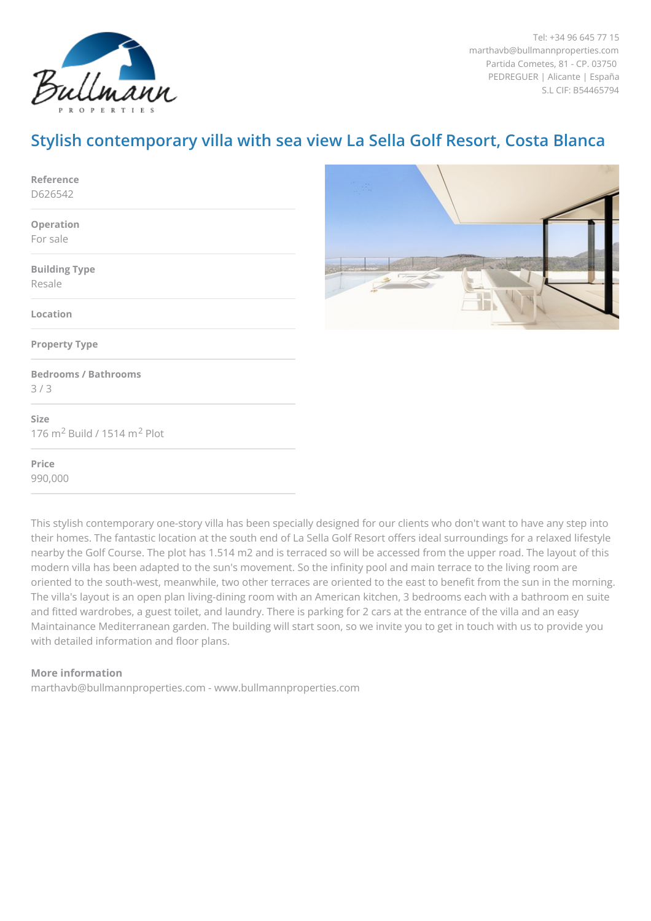

Tel: +34 96 645 77 15 marthavb@bullmannproperties.com Partida Cometes, 81 - CP. 03750 PEDREGUER | Alicante | España S.L CIF: B54465794

## **Stylish contemporary villa with sea view La Sella Golf Resort, Costa Blanca**

| Reference<br>D626542                                        |  |
|-------------------------------------------------------------|--|
| <b>Operation</b><br>For sale                                |  |
| <b>Building Type</b><br>Resale                              |  |
| Location                                                    |  |
| <b>Property Type</b>                                        |  |
| <b>Bedrooms / Bathrooms</b><br>3/3                          |  |
| Size<br>176 m <sup>2</sup> Build / 1514 m <sup>2</sup> Plot |  |
| Price<br>990,000                                            |  |

This stylish contemporary one-story villa has been specially designed for our clients who don't want to have any step into their homes. The fantastic location at the south end of La Sella Golf Resort offers ideal surroundings for a relaxed lifestyle nearby the Golf Course. The plot has 1.514 m2 and is terraced so will be accessed from the upper road. The layout of this modern villa has been adapted to the sun's movement. So the infinity pool and main terrace to the living room are oriented to the south-west, meanwhile, two other terraces are oriented to the east to benefit from the sun in the morning. The villa's layout is an open plan living-dining room with an American kitchen, 3 bedrooms each with a bathroom en suite and fitted wardrobes, a guest toilet, and laundry. There is parking for 2 cars at the entrance of the villa and an easy Maintainance Mediterranean garden. The building will start soon, so we invite you to get in touch with us to provide you with detailed information and floor plans.

## **More information**

marthavb@bullmannproperties.com - www.bullmannproperties.com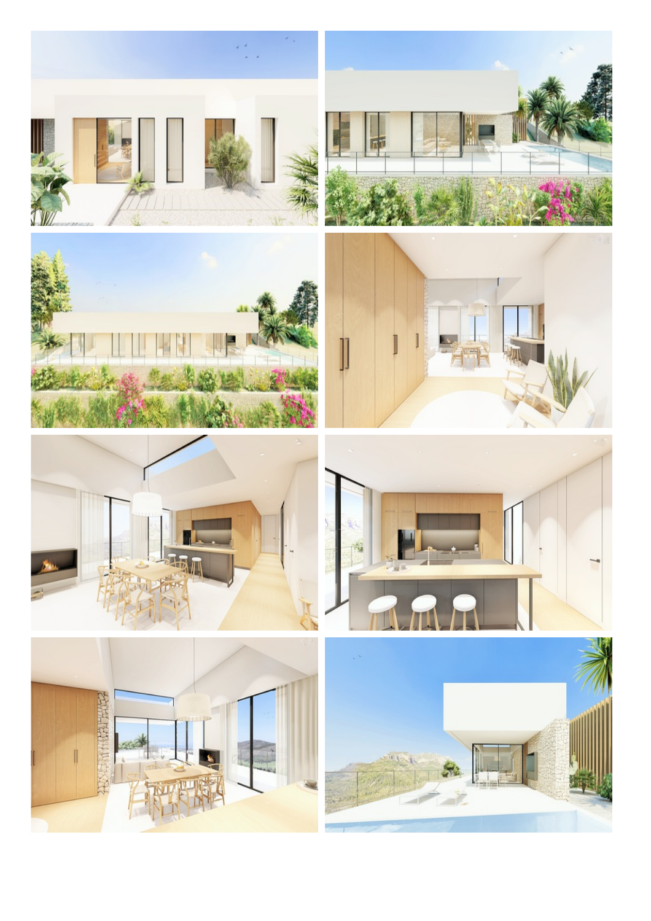













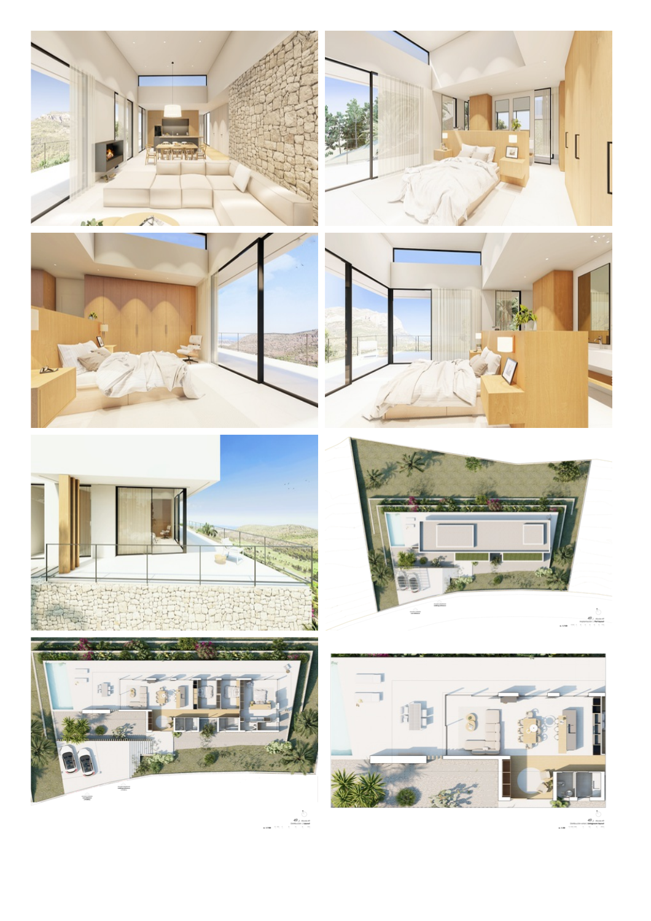













 $\bigodot$  49,1 mm m